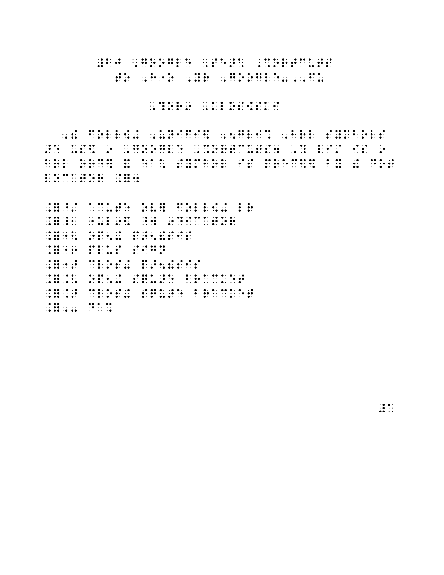$\frac{1}{2}$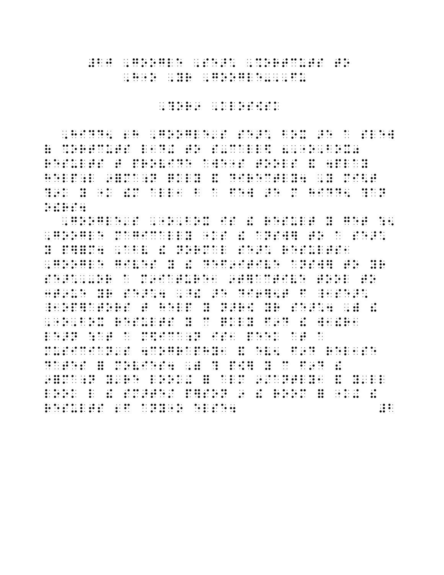#### # BJ , COOK , COOK , COOK , COOK , COOK , COOK , COOK , COOK , COOK , COOK , COOK , COOK , COOK , COOK , COOK<br>\* , ORT CURS TO , COOK , COOK , COOK , COOK , COOK , COOK , COOK , COOK , COOK , COOK , COOK , COOK , COOK , C<br>\* ,  $\frac{1}{2}$ ,  $\frac{1}{2}$ ,  $\frac{1}{2}$ ,  $\frac{1}{2}$ ,  $\frac{1}{2}$ ,  $\frac{1}{2}$ ,  $\frac{1}{2}$ ,  $\frac{1}{2}$ ,  $\frac{1}{2}$ ,  $\frac{1}{2}$ ,  $\frac{1}{2}$ ,  $\frac{1}{2}$ ,  $\frac{1}{2}$ ,  $\frac{1}{2}$ ,  $\frac{1}{2}$ ,  $\frac{1}{2}$ ,  $\frac{1}{2}$ ,  $\frac{1}{2}$ ,  $\frac{1}{2}$ ,  $\frac{1}{2}$ ,

,?OR9 ,KLOS[SK

,HIDD5 2H ,GOOGLE'S SE>\* BOX >E A SLEW ( %ORTCUTS L1D+ TO S-CALL\$ 8,"O,BOX0 RESULTS TO A SULTS TO A RESULTS TO A POSSIBLE AND A SULTS TO A SULTS TO A RESULTS TO A RESULTS TO A PLAY OF A<br>RESULTS TO A RESULTS TO A RESULTS TO A RESULTS TO A RESULTS TO A RESULTS TO A RESULTS TO A RESULTS TO A RESULT<br>A HELP; RESPONSE AND A SERIES AND A RESPONSE A COMPANY AND A COMPANY AND A COMPANY AND A COMPANY AND A COMPANY A<br>Note to be a company and a series and a series and a company of the series and a company and a series are and<br>N ?9K Y "K !M ALL1 B A FEW >E M HIDD5 ?AN **DEED** 

, GOOGLE'S , ONE OF A RESULT Y GROUP AND A RESULT Y GROUP AND A RESULT Y GROUP AND A RESULT Y GROUP AND A RESULT Y GROUP AND A RESULT OF A RESULT OF A RESULT OF A RESULT OF A RESULT OF A RESULT OF A RESULT OF A RESULT OF ,GOOGLE MAGICALLY "KS ! ANSW] TO A SE>\* Y PARAM AN DE SOLIT ET DE SOLIT ET DE SOLIT EN DE SOLIT ET DE SOLIT EN LA BOLITIKA EN LA BOLITIKA ET DE SOLITI<br>1960 - A BOLITIKA ET DE SOLITIKA ET DE SOLITIKA EN LA BOLITIKA EN LA BOLITIKA EN LA BOLITIKA ET DE SOLITIKA E<br>1 ,GOOGLE GIVES Y ! DEF9ITIVE ANSW] TO YR SE>\*,-OR A M9IATURE1 9T]ACTIVE TOOL TO 3T9UE YR SE SAN AR SOS SAN AR YN DAILYN YN Y LLYD YN Y DODAU YN DODAU YN Y SOS YN Y LLYD YN Y LLYD YN Y DAILYN<br>1989 DE YN YN Y 1989 SYDDIAITH YN Y LLYD YN Y LLYD DAILYN Y LLYD YN DAILYN DODAU YN Y LLYD YN DAILYN Y LLYD Y<br>1 \_1OP]ATORS T HELP Y N>R[ YR SE>\*4 ,) ! , The contract of the contract of the contract of the contract of the contract of the contract of the contract<br>The contract of the contract of the contract of the contract of the contract of the contract of the contract o<br> LE>N :AT A M\$ICA;N IS1 PEEK AT A MUSICIAN'S 4COGRAPHY1 & EV5 F9D REL1SE DATES = MOVIES4 , P[] Y CHE AND A SURFAIRE = MOVIES4 , P[] Y CHE AND A SURFAIRE = MOVIES4 , P[] Y CHE AND A SU<br>Dates = Movies4 , P[] Y CHE AND A SURFAIRE = MOVIES4 , P[] Y CHE AND A SURFAIRE = MOVIES4 , P[] Y CHE AND A SU<br> 9= NO DO DE EST EN 1990 EN 1991 DE DE DE DE LOOK DE LOOK DE LEGENDO EN 1990 EN 1990 EN 1990 EN 1990 EN 1990 EN<br>1990 DE EST EN 1990 ET EN 1990 EN 1990 EN 1990 EN 1990 EN 1990 EN 1990 EN 1990 DE LOOK- DO LA 1990 EN 1990 DE<br>1 LOOK OF CHECK LOOK HERE IN 1980 FOR THE LOOK OF THE SMALL HERE IN 1991 CONTINUES TO A 1991 FOR THE 1992 FOR TH<br>The son of the small continues to be a small continues to the small continues and the small form of the son o<br>T RESULTS 2F ANY OF THE RESULTS 2F ANY OF THE RESULTS 2F ANY OF THE RESULTS 2F ANY OF THE RESULTS 2F ANY OF THE <br>RESULTS 2F ANY OF THE RESULTS 2F ANY OF THE RESULTS 2F ANY OF THE RESULTS 2F ANY OF THE RESULTS 2F ANY OF THE<br>R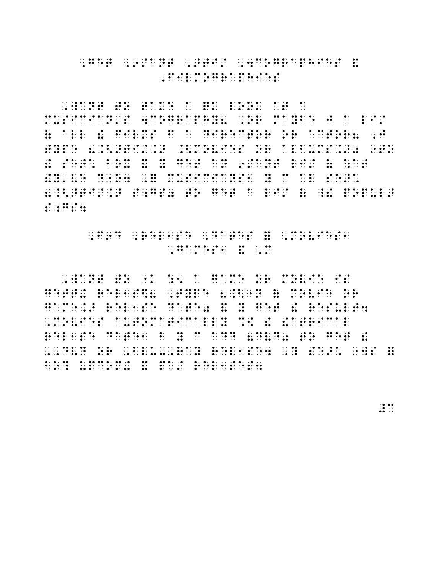#### , GET , GET , GET , GET , GET , GET , GET , GET , GET , GET , GET , GET , GET , GET , GET , GET , GET , GET ,<br>TI/ GET , GET , GET , GET , GET , GET , GET , GET , GET , GET , GET , GET , GET , GET , GET , GET , GET , GET<br>TI ,  $\frac{1}{2}$ ,  $\frac{1}{2}$ ,  $\frac{1}{2}$ ,  $\frac{1}{2}$ ,  $\frac{1}{2}$ ,  $\frac{1}{2}$ ,  $\frac{1}{2}$ ,  $\frac{1}{2}$ ,  $\frac{1}{2}$ ,  $\frac{1}{2}$ ,  $\frac{1}{2}$ ,  $\frac{1}{2}$ ,  $\frac{1}{2}$ ,  $\frac{1}{2}$ ,  $\frac{1}{2}$ ,  $\frac{1}{2}$ ,  $\frac{1}{2}$ ,  $\frac{1}{2}$ ,  $\frac{1}{2}$ ,  $\frac{1}{2}$ ,

, A CONSTITUTION OF TAXE A CONSTITUTION OF TAXE A CONSTITUTION OF TAXE A CONSTITUTION OF TAXE A CONSTITUTION O<br>A CONSTITUTION OF TAXE A CONSTITUTION OF TAXE A CONSTITUTION OF TAXE AND A CONSTITUTION OF TAXE A CONSTITUTION<br> MUSICIAN'S ARRESTS AND ANNOUNCED AND RESIDENCE AND ARRESTS AND ARRESTS AND ARRESTS AND ARRESTS AND ARRESTS AND<br>Announce of the three arrests and the three arrests are the three arrests and arrests are the company of the t ( ALL ! FILMS F A DIRECTOR OR ACTOR8 ,J TYPE 8.0 BOYS THE RELEASE REPORT OF THE RESIDENCE OF THE RELEASE RELEASE RELEASE RELEASE RELEASE RELEASE RELEA<br>The Release release release release release in the release release the release release release release release<br> ! SE>\* BOX & Y GET AN 9/ANT LI/ ( :AT !Y'VE D"O4 ,= MUSICIANS1 Y C AL SE>\* 8. September 1983 To Get A Linds and September 1983 To Get A Linds and September 1983 To Get A Linds and Septem<br>The Company of Company in the Company of Company 1993 To Get A Linds and September 1994 To Company and Septemb S;GS4

## , F9D , RELATIONS = , RELATIONS = , RELATIONS = , RELATIONS = , RELATIONS = , RELATIONS = , RELATIONS = , RELA<br>The state state state state state state state state state state state state state state state state state stat ,  $\frac{1}{2}$ ,  $\frac{1}{2}$ ,  $\frac{1}{2}$ ,  $\frac{1}{2}$ ,  $\frac{1}{2}$ ,  $\frac{1}{2}$ ,  $\frac{1}{2}$ ,  $\frac{1}{2}$ ,  $\frac{1}{2}$ ,  $\frac{1}{2}$ ,  $\frac{1}{2}$ ,  $\frac{1}{2}$ ,  $\frac{1}{2}$ ,  $\frac{1}{2}$ ,  $\frac{1}{2}$ ,  $\frac{1}{2}$ ,  $\frac{1}{2}$ ,  $\frac{1}{2}$ ,  $\frac{1}{2}$ ,  $\frac{1}{2}$ ,

, 2008, 2008, 2009, 2009, 2009, 2009, 2009, 2009, 2009, 2009, 2009, 2009, 2009, 2009, 2009, 2009, 2009, 2009,<br>1966, 2009, 2009, 2009, 2009, 2009, 2009, 2009, 2009, 2009, 2009, 2009, 2009, 2009, 2009, 2009, 2009, 2009, 2<br>19 GETTH RELIGIONS - ENTRE ENTRE EN 1999 EN 1999 EN 1999 EN 1999 EN 1999 EN 1999 EN 1999 EN 1999 EN 1999 EN 1999<br>1999 EN 1999 EN 1999 EN 1999 EN 1999 EN 1999 EN 1999 EN 1999 EN 1999 EN 1999 EN 1999 EN 1999 EN 1999 EN 1999<br>199 GAME.> REL1SE DATE0 & Y GET ! RESULT4 , LO BORDO DE LO BOL LO 1995 DE BORDO DE LO BORDO DE LOS 1986 DE LOS 1998 DE LO BOL LO BOL LO BORDO DE BO<br>1995 DE LO BORDO DE LOS 1995 DE LO BORDO DE LOS 1995 DE LO BORDO DE LO BORDO DE LO BORDO DE LO BORDO DE LO BO<br>1996 D RELEVATION CONTINUES TO A CHARGE THE CONTINUES OF THE CONTINUES OF THE CONTINUES OF THE CONTINUES OF THE CONTINUES OF THE CONTINUES OF THE CONTINUES OF THE CONTINUES OF THE CONTINUES OF THE CONTINUES OF THE CONTINUES OF TH ,,DVD OR ,BLU-,RAY REL1SE4 ,? SE>\* "WS = BO? BO? UPCOME ARTICLES & PARTICLES & PARTICLES & PA/ POSSES4 & PA/ POSSES4 & PA/ POSSES4 & PA/ POSSES4 & PA/<br>PA/ RELIST & PA/ POSSES4 & PA/ POSSES4 & PA/ POSSES4 & PA/ POSSES4 & PA/ POSSES4 & PA/ POSSES4 & PA/ POSSES4 &<br>P

 $\frac{1}{2}$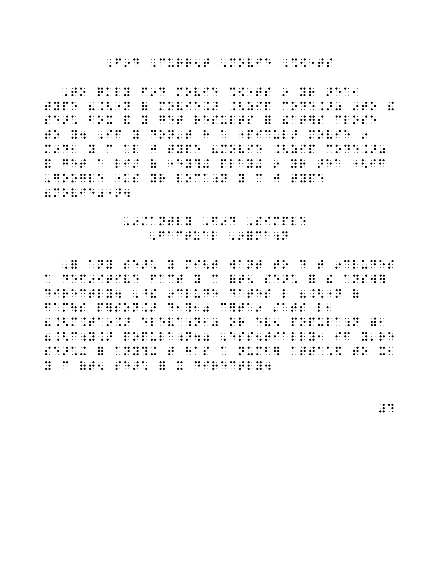1989 – 1989 – 1989 – 1989 – 1989 – 1989 – 1989 – 1989 – 1989 – 1989 – 1989 – 1989 – 1989 – 1989 – 1989 – 1989<br>1989 – 1989 – 1989 – 1989 – 1989 – 1989 – 1989 – 1989 – 1989 – 1989 – 1989 – 1989 – 1989 – 1989 – 1989 – 1989<br>19 

## 

. 1961 - 1972 - 1982 - 1983 - 1983 - 1983 - 1983 - 1983 - 1983 - 1983 - 1983 - 1983 - 1983 - 1983 - 1984 - 198<br>1984 - 1983 - 1983 - 1984 - 1984 - 1984 - 1984 - 1984 - 1984 - 1984 - 1984 - 1984 - 1984 - 1984 - 1984 - 1984<br>1 

 $\mathbb{R}^2$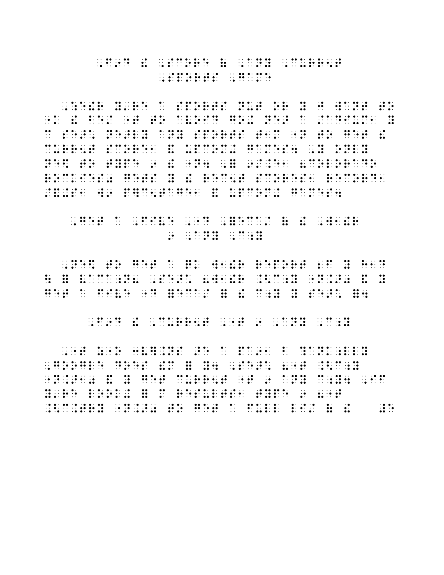#### , F9D | 2008 | 2008 | 2009 | 2009 | 2009 | 2009 | 2009 | 2009 | 2009 | 2009 | 2009 | 2009 | 2009 | 2009 | 2009<br>| 2009 | 2009 | 2009 | 2009 | 2009 | 2009 | 2009 | 2009 | 2009 | 2009 | 2009 | 2009 | 2009 | 2009 | 2009 | 20<br>| , sports , and the sports of the sports , and the sports of the sports , and the sports of the sports , and th<br>SPORTS , and the sports of the sports , and the sports , and the sports , and the sports , and the sports , an

, : E PORTS NUT OUTLINE DIT RESERVE DE L'ARGENT DE LA CORRESTE DE L'ARGENT DE L'ARGENT DE L'ARGENT DE L'ARGENT<br>1990 : A SPORTS NUT OUTLINE A SUR L'ARGENT DE SON DES L'ARGENT DE L'ARGENT DE L'ARGENT DE L'ARGENT DE L'ARGEN<br>1  $\begin{bmatrix} 0 & 0 & 0 & 0 \\ 0 & 0 & 0 & 0 \\ 0 & 0 & 0 & 0 \\ 0 & 0 & 0 & 0 \\ 0 & 0 & 0 & 0 \\ 0 & 0 & 0 & 0 \\ 0 & 0 & 0 & 0 \\ 0 & 0 & 0 & 0 \\ 0 & 0 & 0 & 0 \\ 0 & 0 & 0 & 0 \\ 0 & 0 & 0 & 0 & 0 \\ 0 & 0 & 0 & 0 & 0 \\ 0 & 0 & 0 & 0 & 0 \\ 0 & 0 & 0 & 0 & 0 \\ 0 & 0 & 0 & 0 & 0 \\ 0 & 0 & 0 & 0 & 0 \\ 0 &$ C SE>\* NE>LY ANY SPORTS T1M "N TO GET ! CURR5T SCORE1 & UPCOM+ GAMES4 ,Y ONLY NE\$ TO TYPE 9 ! "N4 ,= 9/.E1 8COLORADO ROCKIES DO DE LO DE LO DO DE LO DE LO DE LO DE DE LO DE LEGIO DE DE DE LO DE LO DE DE DE DE DE DE DO LEGIO EST<br>1981 - DE LO DE LO DE LO DE LO DO DE LO DE LO DE LO DE LO DE LO DE LO DE LO DE LO DE LO DE LO DO LO DE LO DE<br>19 /&+S1 W9 P]C5TAGE1 & UPCOM+ GAMES4

# , Get a decrease of the construction of the construction of the construction of the construction of the constr<br>The construction of the construction of the construction of the construction of the construction of the const<br> 9 , ANY , ANY , ANY , ANY , ANY , ANY , ANY , ANY , ANY , ANY , ANY , ANY , ANY , ANY , ANY , ANY , ANY , ANY <br>2008 , ANY , ANY , ANY , ANY , ANY , ANY , ANY , ANY , ANY , ANY , ANY , ANY , ANY , ANY , ANY , ANY , ANY , A<br>

, which is a complete the control of the complete the complete the complete the complete the complete the compl<br>And the complete the complete the complete the complete the complete the complete the complete the complete t \ = VACA;N8 ,SE>\* 8W1!R .<C;Y "N.>0 & Y GET A FIVE "DES LOIS DE LA FIVE DE LOIS DE LA FIVE DE LA FIVE DE LA FIVE DE LA FIVE DE LA FIVE DE LA FIVE DE<br>1980 - LA FIVE DE LA FIVE DE LA FIVE DE LA FIVE DE LA FIVE DE LA FIVE DE LA FIVE DE LA FIVE DE LA FIVE DE LA<br>1990

, The discrete state in the discrete state in the second state in the discrete state in the second state in th<br>The discrete state in the second state in the second state in the second state in the second state in the seco

, "T Z"O 30 A PAS E A PAS E A PAS E A PAS E A PAS E A PAS E A PAS E A PAS E A PAS E A PAS E A PAS E A PAS E A<br>NS >E A PAS E A PAS E A PAS E A PAS E A PAS E A PAS E A PAS E A PAS E A PAS E A PAS E A PAS E A PAS E A PAS E<br>NS , Google Does : Seconds : Seconds : Seconds : Seconds : Seconds : Seconds : Seconds : Seconds : Seconds : Second<br>- Seconds : Seconds : Seconds : Seconds : Seconds : Seconds : Seconds : Seconds : Seconds : Seconds : Second "N.>10 & Y GET CURR5T "T 9 ANY C;Y4 ,IF Y'RE LOOK HET DIE DIE DIE VOORT DIE DIE DIE DIE VOLGENDIE VAN DIE VOLGENDOOR VAN DIE LOOK- VAN DIE VAN DIE VOL<br>1980 TOE VOLGENDOOR DIE VOLGENDOOR VAN DIE VOLGENDOOR VAN DIE VOLGENDOOR DIE VOLGENDOOR VAN DIE VOLGENDOOR DIE<br> . The contract of the contract of the contract of the contract of the contract of the contract of the contract of the contract of the contract of the contract of the contract of the contract of the contract of the contrac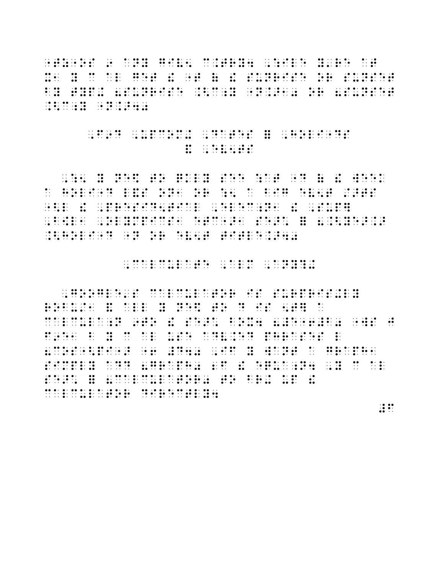inn na an n-eilean 1971 - Leis as as le as an n-eilean na sealach n-eilean an n-eilean 1972. Is eilean 1972 -<br>1981 - An India an Innius Innius III - as an an an Innius as as as an innius an Innius Innius and Innius Inniu<br>1 1986 - J. 1988 - 1988 - 1989 - 1989 - 1989 - 1989 - 1989 - 1989 - 1989 - 1989 - 1989 - 1989 - 1989 - 1989 - 19<br>1989 - 1989 - 1989 - 1989 - 1989 - 1989 - 1989 - 1989 - 1989 - 1989 - 1989 - 1989 - 1989 - 1989 - 1989 - 1989<br>1 

### **H** HARRY

in an en 1988, da de de 1989 en 1989 de de 1989 en 1989 de 1989 en 1989 en 1989 de 1989 en 1989 en 1989 en 198<br>1999 en 1989 en 1989 en 1989 en 1989 en 1989 en 1989 de 1989 en 1989 en 1989 en 1989 de 1989 en 1989 en 1989<br>19 

. 2008 - 1008 - 1008 - 1008 - 2008 - 2008 - 2008 - 2008 - 2008 - 2008 - 2008 - 2008 - 2008 - 2008 - 2009 - 200<br>- 2008 - 2008 - 2008 - 2008 - 2008 - 2008 - 2008 - 2008 - 2008 - 2008 - 2008 - 2008 - 2008 - 2008 - 2008 - 20<br>-. 1961 - 1972 - 1973 - 1986 - 1986 - 1987 - 1988 - 1989 - 1989 - 1989 - 1989 - 1989 - 1989 - 1989 - 1989 - 198<br>1989 - 1989 - 1989 - 1989 - 1989 - 1989 - 1989 - 1989 - 1989 - 1989 - 1989 - 1989 - 1989 - 1989 - 1989 - 1989<br>1 . 1966 - 1976 - 1977 - 1986 - 1987 - 1988 - 1988 - 1989 - 1989 - 1989 - 1989 - 1989 - 1989 - 1989 - 1989 - 198<br>1989 - 1989 - 1989 - 1989 - 1989 - 1989 - 1989 - 1989 - 1989 - 1989 - 1989 - 1989 - 1989 - 1980 - 1980 - 1989<br>1  $\frac{1}{2}$ 

 $\mathbb{R}$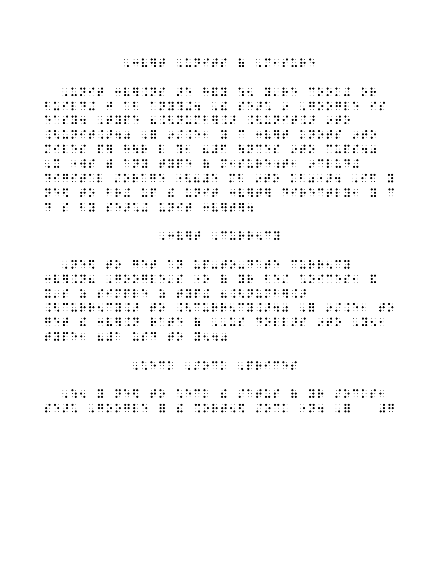#### , 3V) , 3V (1999) , 3V (1999) , 1999) , 1999 , 1999 , 1999 , 1999 , 1999 , 1999 , 1999 , 1999 , 1999 , 1999 ,<br>1999 , 1999 , 1999 , 1999 , 1999 , 1999 , 1999 , 1999 , 1999 , 1999 , 1999 , 1999 , 1999 , 1999 , 1999 , 1999<br>1

,UNIT 3V].NS >E H&Y :5 Y'RE COOK+ OR BUILD+ JOIN- DO LOS III LOS II LOS ION DO DO LOS II LUISOS I LOS II-LUISOS I LUISOS DU DISPUESTO LIVO LOS ION<br>1971 - JOIN- JOIN- II LOS III LUISOS I LUISOS I LUISOS I LUISOS I DU LOS III LUISOS I LOS IONES DU LOS IONES<br>197 EASY4 ,TYPE 8.<NUMB].> .<UNIT.> 9TO .<UNIT.>40 ,= 9/.E1 Y C 3V]T KNOTS 9TO MILES POR LA CORRESPONDIA DE LA CORRESPONDIA DE LA CORRESPONDIA DE LA CORRESPONDIA DE LA CORRESPONDIA DE LA CO<br>1970 - L'AL CORRESPONDIA DE LA CORRESPONDIA DE LA CORRESPONDIA DE LA CORRESPONDIA DE LA CORRESPONDIA DE LA CO<br>1 , 2008, 2009, 2009, 2009, 2009, 2009, 2009, 2009, 2009, 2009, 2009, 2009, 2009, 2009, 2009, 2009, 2009, 2009,<br>2009, 2009, 2009, 2009, 2009, 2009, 2009, 2009, 2009, 2009, 2009, 2009, 2009, 2009, 2009, 2009, 2009, 2009, 2<br>20 DIGITAL RESPONDENT STANDEN EN DE BOLDES SOM EN SOM DE SOM EN SOM DE SOM EN DE SOM EN SOM EN DE SOM EN DE SOM E<br>1980 DE BOLDES DE SOM EN SOM EN DIGITAL SOM EN DE SOM EN SOM EN SOM EN DIGITAL EN DIGITAL EN DE BOLDES SOM EN<br>1 NE\$ TO BR+ UP ! UNIT 3V]T] DIRECTLY1 Y C D S BY SE>\*+ UNIT 3V]T]4

#### ,  $3\times10^{-1}$  ,  $3\times10^{-1}$  ,  $3\times10^{-1}$  ,  $3\times10^{-1}$  ,  $3\times10^{-1}$  ,  $3\times10^{-1}$  ,  $3\times10^{-1}$  ,  $3\times10^{-1}$  ,  $3\times10^{-1}$  ,  $3\times10^{-1}$  ,  $3\times10^{-1}$  ,  $3\times10^{-1}$  ,  $3\times10^{-1}$  ,  $3\times10^{-1}$  ,  $3\times10^{-1}$  ,  $3\times10^{-1}$  ,  $3\times10^{-1}$

,  $\frac{1}{2}$  ,  $\frac{1}{2}$  ,  $\frac{1}{2}$  ,  $\frac{1}{2}$  ,  $\frac{1}{2}$  ,  $\frac{1}{2}$  ,  $\frac{1}{2}$  ,  $\frac{1}{2}$  ,  $\frac{1}{2}$  ,  $\frac{1}{2}$  ,  $\frac{1}{2}$  ,  $\frac{1}{2}$  ,  $\frac{1}{2}$  ,  $\frac{1}{2}$  ,  $\frac{1}{2}$  ,  $\frac{1}{2}$  ,  $\frac{1}{2}$  ,  $\frac{1}{2}$  ,  $\frac$ 3V].N8 ,GOOGLE'S "O ( YR BE/ \*OICES1 & X'S Z SIMPLE Z TYP+ 8.<NUMB].> .<CURR5CY.> TO .<CURR5CY.>40 ,= 9/.E1 TO GET DE LA 1998 DE LA COLLO DE LA COLLO DE LA CALIFATA DE LA COLLO DE LA CALIFATA DE LA COLLO DE LA COLLO DE LA<br>N RATE ( , US DOLLAS DE LA COLLO DE LA COLLO DE LA CALIFATA DE LA COLLO DE LA COLLO DE LA COLLO DE LA COLLO D<br>N TYPE1 8#A USD TO Y540

,\*ECK ,/OCK ,PRICES

, : 5 Y NORTH AN AN AN AIR AN AN AN AN AN AIR AN AN AIR AN AIR AN AIR AN AIR AN AIR AN AIR AN AIR AN AIR AN AI<br>15 Y NORTH 1990 - 1990 AN AIR AN AIR A' 1990 AIR A' 1990 AN AIR AN AIR AN AIR AN AIR A' 1990 AIR AN AIR AN AIR<br> SE>\* ,GOOGLE = ! %ORT5\$ /OCK "N4 ,= #G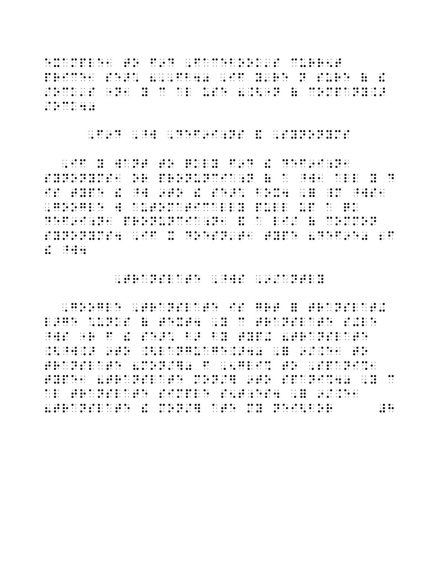EXAMPLE 1998 ED EXAMPLE 1998 EN 1998 EN 1998 EN ES ES ES EL EXAMPLE EL ES ES ES ES ES ES ES ES ES ES ES ES ES<br>1998 EN 1995 EN ES ES EDES EN ES ES ES ES ES EN EL ES EN EN EN ES ES ES ES ES ES ES ES ES ES EDEDE EN EDES ED<br>19 PRICE 20 BEN AN INTERNATIONAL IN THE SERVE AND EXPERIMENT OF THE SERVE AND INTERNATIONAL INFORMATion of the SU<br>Price 20 Server 20 Server 20 Server 20 Server 20 Server 20 Server 20 Server 20 Server 20 Server 20 Server 20<br>Pr /OCK'S "N1 Y C AL USE 8.<"N ( COMPANY.> /OCK40

, F9D , F9D , F9D , F9D , D9D , D9D , D9D , F9D , F9D , D9D , F9D , F9D , D9D , D9D , D9D , D9D , D9D , D9D ,<br>F9D , F9D , F9D , F9D , F9D , F9D , F9D , F9D , F9D , F9D , F9D , F9D , F9D , F9D , F9D , F9D , F9D , F9D , F9<br>F

,IF YOUR SERVED TO A RELEASE TO DEPEND TO A RELEASE THE SERVED OF THE SERVED OF THE SERVED OF THE SERVED OF TH<br>In the served of the served of the served of the served of the served of the served of the served of the serve<br> SYNONYMS1 OR PRONUNCIA;N ( A ^W1 ALL Y D IS TYPE !  $\frac{1}{2}$  ,  $\frac{1}{2}$  ,  $\frac{1}{2}$  ,  $\frac{1}{2}$  ,  $\frac{1}{2}$  ,  $\frac{1}{2}$  ,  $\frac{1}{2}$  ,  $\frac{1}{2}$  ,  $\frac{1}{2}$  ,  $\frac{1}{2}$  ,  $\frac{1}{2}$  ,  $\frac{1}{2}$  ,  $\frac{1}{2}$  ,  $\frac{1}{2}$  ,  $\frac{1}{2}$  ,  $\frac{1}{2}$  ,  $\frac{1}{2}$  ,  $\frac{1}{2$ , GOOGLE WAS ARRESTED TO AND THE RESIDENT OF A GOOGLE WAS ARRESTED TO A GOOGLE WAS ARRESTED TO A GOOGLE WAS AR<br>Google Was arrested to a google was a google was arrested to a google was a google was a google was a google w<br> DEFINITION OF A LIFE OF A LIFE OF A LIFE OF A LIFE OF A LIFE OF A LIFE OF A LIFE OF A LIFE OF A LIFE OF A LIFE<br>The common of a life of a life of a life of a life of a life of a life of a life of a life of a life of a life SYNONYMS4 ,IF X DOESN'T1 TYPE 8DEF9E0 2F ! ^W4

, TRANSLATE , DE 1979, DE 1979, DE 1979, DE 1979, DE 1979, DE 1979, DE 1979, DE 1979, DE 1979, DE 1979, DE 197<br>1979, DE 1979, TRANSLATE , DE 1979, DE 1979, DE 1979, DE 1979, DE 1979, DE 1979, DE 1979, DE 1979, DE 1979, D<br>1

,GOOGLE , GOOGLE , GOOGLE , GOOGLE , GOOGLE , GOOGLE , GOOGLE , GOOGLE , GOOGLE , GOOGLE , GOOGLE , GOOGLE , G<br>Google , Google , Google , Google , Google , Google , Google , Google , Google , Google , Google , Google , Go<br> LOS DE CALLATAS ( TEXT4 , ESTE LOS DE LOS DE LOS DE LOS DE LOS DE LOS DE LOS DE LOS DE LOS DE LOS DE LOS DE LO<br>LOS DE LOS DE LOS DE LOS DE LOS DE LOS DE LOS DE LOS DE LOS DE LOS DE LOS DE LOS DE LOS DE LOS DE LOS DE LOS<br>LO  $\overline{M}$  , and  $\overline{M}$  , and  $\overline{M}$  is the set of  $\overline{M}$  . Set of  $\overline{M}$  , and  $\overline{M}$  is the set of  $\overline{M}$  , and  $\overline{M}$  , and  $\overline{M}$  is the set of  $\overline{M}$  , and  $\overline{M}$  , and  $\overline{M}$  , and  $\overline{M}$  , and .<^W.> 9TO .<LANGUAGE.>40 ,= 9/.E1 TO TRANSLATE 8MONTH 8MONTH 2000 FOR THE 8MONTH 8MONTH 8MONTH 8MONTH 8MONTH 8MONTH 8MONTH 8MONTH 8MONTH 8MONTH 8MO<br>2000 FOR THE 8MONTH 8MONTH 8MONTH 8MONTH 8MONTH 8MONTH 8MONTH 8MONTH 8MONTH 8MONTH 8MONTH 8MONTH 8MONTH 8MONTH TYPER BRIDGE AND THE RESERVED BRIDGE AND RESERVED BRIDGE AND STRANSLATED AND RESERVED AND THE RESERVED BRIDGE<br>The Reserved Bridge and the Reserved Bridge and the Reserved School and the Reserved Bridge and the Reserved B<br>T ALL DE L'ANDIEN DE DOILO DE DE L'ANDIEN LE SOU DOIDE DE L'ANDIE ET L'ANDIE ET L'ANDIE L'ANDIE ET L'ANDIE ET L'<br>Al Die L'AD DOIDE L'ANDIEN DE L'ANDIEN L'ANDIEN DE DE L'ANDIE DE L'ANDIE EN DIE L'ANDIEN L'ANDIE L'ANDIE EN D<br>A  $\mathbf{S}$  . The state of the state  $\mathbf{S}$  and  $\mathbf{S}$  at  $\mathbf{S}$  and  $\mathbf{S}$  are the state of the state of the state of the state of the state of the state of the state of the state of the state of the state of the st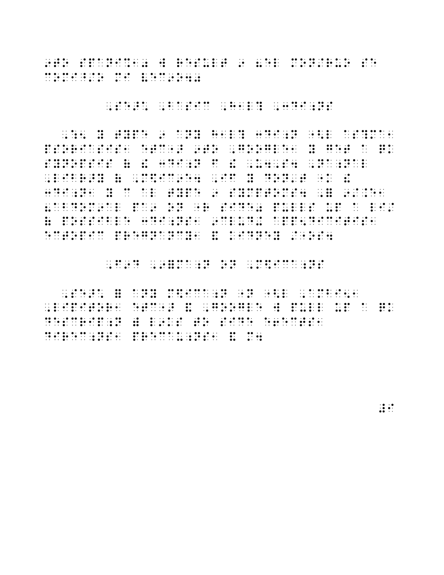inn Brith - 1990 - 1990 BB British - 1991 BB BB - 1991 1992 - 1991 BB 1991 1992 - 1993 BB - 1991 1992 BB Brith<br>1991 - 1992 - 1993 - 1993 1994 1994 1994 1995 - 1996 1996 1996 1996 1997 1998 1999 - 1999 1999 1999 1999 1999<br>1 inn der edigen der edigen in die eine eine der en der en in eine en in die der die eerste en een en in een de<br>1993 – De die die en die staan van die eerste en en en die eerste selfs van die eerste en die eerste van die<br>199  $\ddot{\cdot}$ ia de la componición de las componicións de servicións de las asias de servicións de serveixente serveixente s<br>1960 — Estrela de la componición de la componición de la componición de la componición de la componición de l<br>1 

ico de 2000 en 2010, en 2012, de 2012, en 2013, en 2010, de 82 02 02 02 03 03 02 02 02 02 02 03 02 02 03 02 02<br>12 de dicide de 2010 de 21 de 22 en 23 en 23 en 23 en 24 en 25 en 26 en 27 en 28 en 28 en 28 en 28 en 29 en<br>12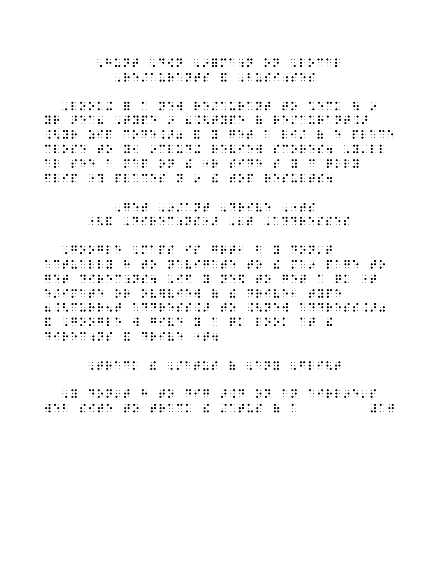in die de die solidate die de die beste van die deur die de die beste stelling van die stelling van die beste<br>Die beste die beste van die beste beste die beste van die de beste van die beste van die die beste van die be<br>D 

### $\mathcal{L}$  , and the set of the set of the set of the set of  $\mathcal{L}$  , and the set of the set of the set of the set of the set of the set of the set of the set of the set of the set of the set of the set of the set of the

 $\frac{1}{2}$